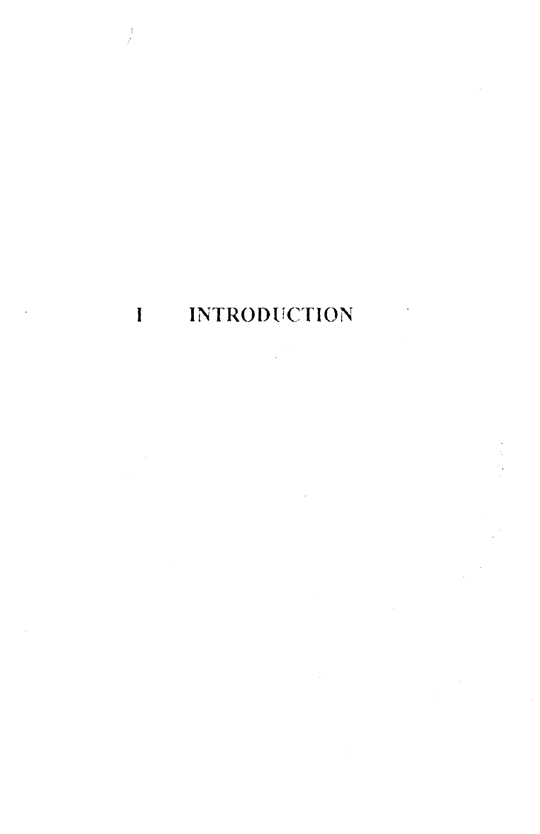# I INTRODUCTION

 $\frac{1}{\sqrt{2}}$ 

 $\label{eq:2} \frac{1}{\sqrt{2}}\left(\frac{1}{\sqrt{2}}\right)^{2} \frac{1}{\sqrt{2}}\left(\frac{1}{\sqrt{2}}\right)^{2}$ 

 $\frac{1}{2}$ 

 $\sim$   $\sim$  $\sim 10^6$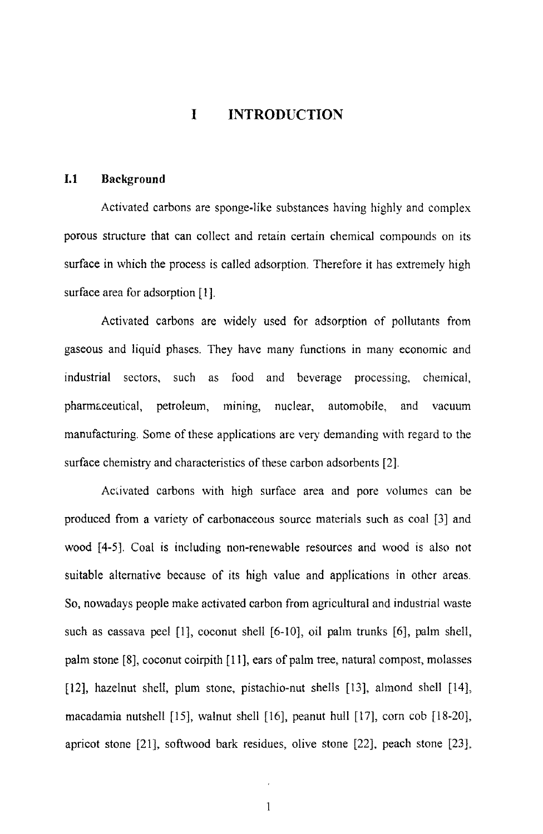## **I INTRODUCTION**

#### **1.1 Background**

Activated carbons are sponge-like substances having highly and complex porous structure that can collect and retain certain chemical compounds on its surface in which the process is called adsorption. Therefore it has extremely high surface area for adsorption [l].

Activated carbons are widely used for adsorption of pollutants from gaseous and liquid phases. They have many functions in many economic and industrial sectors, such as food and beverage processing, chemical, pharmaceutical, petroleum, mining, nuclear, automobile, and vacuum manufacturing. Some of these applications are very demanding with regard to the surface chemistry and characteristics of these carbon adsorbents [2].

Activated carbons with high surface area and pore volumes can be produced from a variety of carbonaceous source materials such as coal [3] and wood [4-5]. Coal is including non-renewable resources and wood is also not suitable alternative because of its high value and applications in other areas. So, nowadays people make activated carbon from agricultural and industrial waste such as cassava peel [1], coconut shell [6-10], oil palm trunks [6], palm shell, palm stone [8], coconut coirpith [11], ears of palm tree, natural compost, molasses [12], hazelnut shell, plum stone, pistachio-nut shells [13], almond shell [14], macadamia nutshell (15], walnut shell [16J, peanut hull [17], corn cob [18-20), apricot stone [21], softwood bark residues, olive stone [22], peach stone [23],

 $\ddot{\phantom{0}}$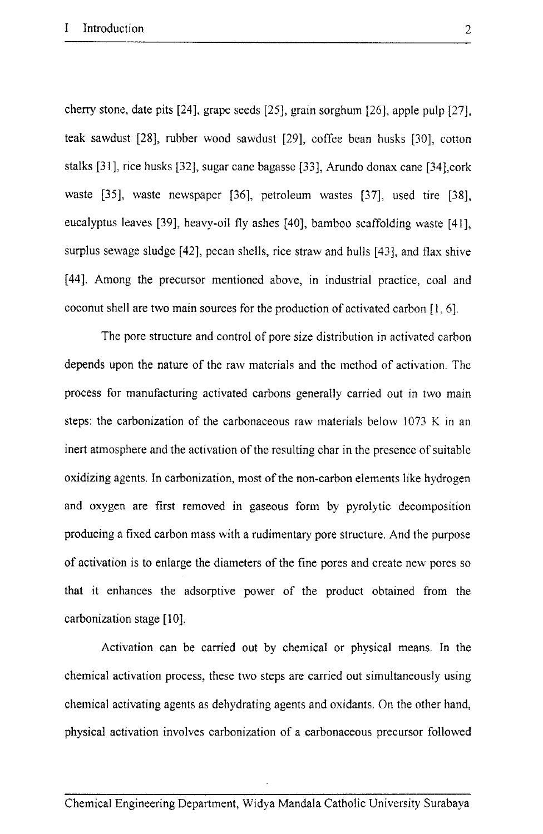cherry stone, date pits [24], grape seeds [25], grain sorghum [26], apple pulp [27], teak sawdust [28], rubber wood sawdust [29], coffee bean husks [30], cotton stalks [31], rice husks [32], sugar cane bagasse [33], Arundo donax cane [34],cork waste [35], waste newspaper [36], petroleum wastes [37], used tire [38], eucalyptus leaves [39], heavy-oil fly ashes [40], bamboo scaffolding waste [41], surplus sewage sludge [42], pecan shells, rice straw and hulls [43], and flax shive [44]. Among the precursor mentioned above, in industrial practice, coal and coconut shell are two main sources for the production of activated carbon [I, 6].

The pore structure and control of pore size distribution in activated carbon depends upon the nature of the raw materials and the method of activation. The process for manufacturing activated carbons generally carried out in two main steps: the carbonization of the carbonaceous raw materials below 1073 K in an inert atmosphere and the activation of the resulting char in the presence of suitable oxidizing agents. In carbonization, most of the non-carbon elements like hydrogen and oxygen are first removed in gaseous form by pyrolytic decomposition producing a fixed carbon mass with a rudimentary pore structure. And the purpose of activation is to enlarge the diameters of the fine pores and create new pores so that it enhances the adsorptive power of the product obtained from the carbonization stage [10].

Activation can be carried out by chemical or physical means. In the chemical activation process, these two steps are carried out simultaneously using chemical activating agents as dehydrating agents and oxidants. On the other hand, physical activation involves carbonization of a carbonaceous precursor followed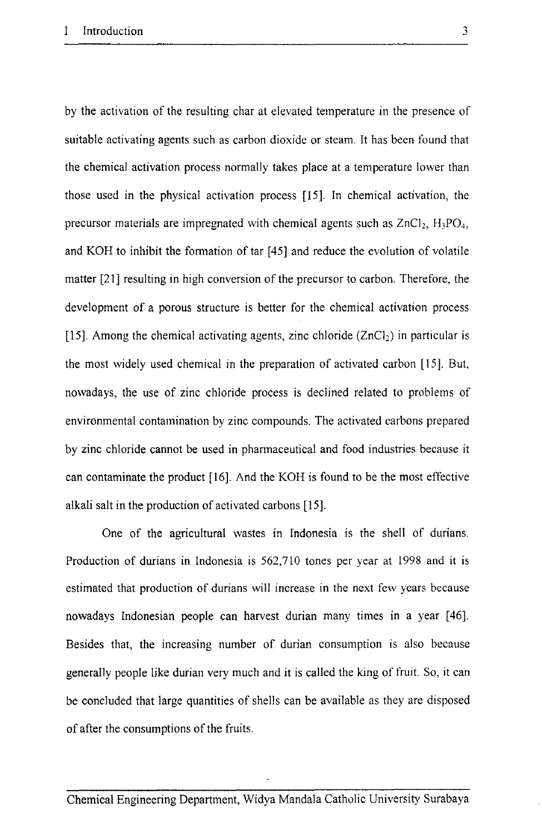by the activation of the resulting char at elevated temperature in the presence of suitable activating agents such as carbon dioxide or stearn. It has been found that the chemical activation process normally takes place at a temperature lower than those used in the physical activation process [15]. In chemical activation, the precursor materials are impregnated with chemical agents such as  $ZnCl_2$ ,  $H_3PO_4$ , and KOH to inhibit the formation of tar [45] and reduce the evolution of volatile matter [21] resulting in high conversion of the precursor to carbon. Therefore, the development of a porous structure is better for the chemical activation process [15]. Among the chemical activating agents, zinc chloride  $(ZnCl<sub>2</sub>)$  in particular is the most widely used chemical in the preparation of activated carbon [15]. But, nowadays, the use of zinc chloride process is declined related to problems of environmental contamination by zinc compounds. The activated carbons prepared by zinc chloride cannot be used in pharmaceutical and food industries because it can contaminate the product [16]. And the KOH is found to be the most effective alkali salt in the production of activated carbons [15].

One of the agricultural wastes in Indonesia is the shell of durians. Production of durians in Indonesia is 562,710 tones per year at 1998 and it is estimated that production of durians will increase in the next few years because nowadays Indonesian people can harvest durian many times in a year [46]. Besides that, the increasing number of durian consumption is also because generally people like durian very much and it is called the king of fruit. So, it can be concluded that large quantities of shells can be available as they are disposed of after the consumptions of the fruits.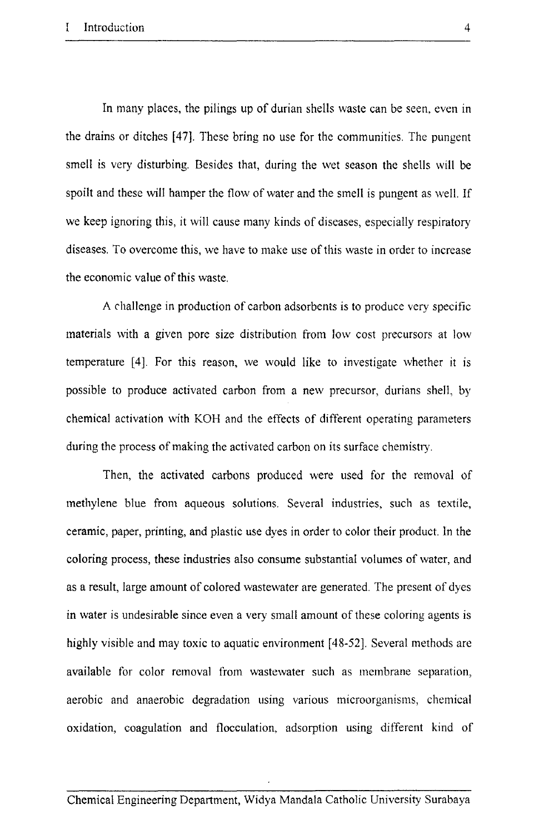In many places, the pilings up of durian shells waste can be seen, even in the drains or ditches [47). These bring no use for the communities. The pungent smell is very disturbing. Besides that, during the wet season the shells will be spoilt and these will hamper the flow of water and the smell is pungent as well. If we keep ignoring this, it will cause many kinds of diseases, especially respiratory diseases. To overcome this, we have to make use of this waste in order to increase the economic value of this waste.

A rhallenge in production of carbon adsorbents is to produce very specific materials with a given pore size distribution from low cost precursors at low temperature [4]. For this reason, we would like to investigate whether it is possible to produce activated carbon from a new precursor, durians shell, by chemical activation with KOH and the effects of different operating parameters during the process of making the activated carbon on its surface chemistry.

Then, the activated carbons produced were used for the removal of methylene blue from aqueous solutions. Several industries, such as textile, ceramic, paper, printing, and plastic use dyes in order to color their product. In the coloring process, these industries also consume substantial volumes of water, and as a result, large amount of colored wastewater are generated. The present of dyes in water is undesirable since even a very small amount of these coloring agents is highly visible and may toxic to aquatic environment [48-52]. Several methods are available for color removal from wastewater such as membrane separation, aerobic and anaerobic degradation using various microorganisms, chemical oxidation, coagulation and flocculation, adsorption using different kind of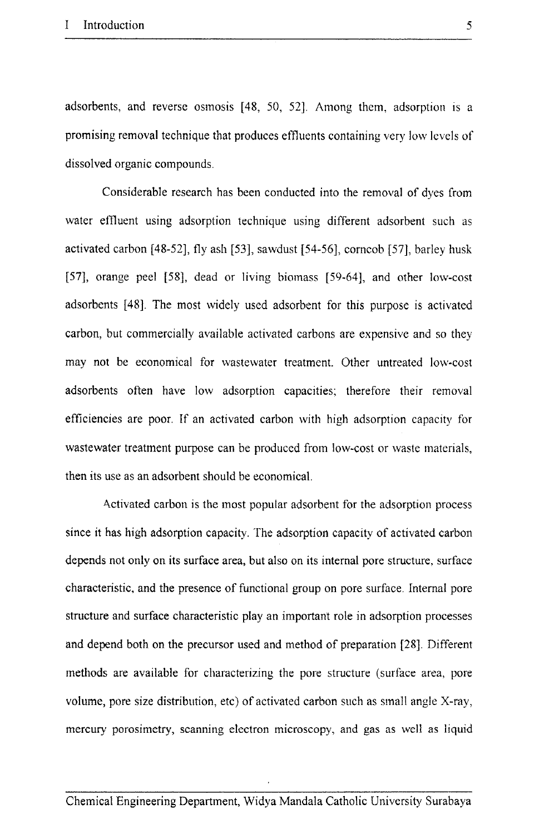adsorbents, and reverse osmosis [48, 50, 52]. Among them, adsorption is a promising removal technique that produces effluents containing very low levels of dissolved organic compounds.

Considerable research has been conducted into the removal of dyes from water effluent using adsorption technique using different adsorbent such as activated carbon [48-52], fly ash [53], sawdust [54-56], corncob [57], barley husk [57], orange peel [58], dead or living biomass [59-64], and other low-cost adsorbents [48]. The most widely used adsorbent for this purpose is activated carbon, but commercially available activated carbons are expensive and so they may not be economical for wastewater treatment. Other untreated low-cost adsorbents often have low adsorption capacities; therefore their removal efficiencies are poor. If an activated carbon with high adsorption capacity for wastewater treatment purpose can be produced from low-cost or waste materials, then its use as an adsorbent should be economical.

A.ctivated carbon is the most popular adsorbent for the adsorption process since it has high adsorption capacity. The adsorption capacity of activated carbon depends not only on its surface area, but also on its internal pore structure, surface characteristic, and the presence of functional group on pore surface. Internal pore structure and surface characteristic play an important role in adsorption processes and depend both on the precursor used and method of preparation [28]. Different methods are available for characterizing the pore structure (surface area, pore volume, pore size distribution, etc) of activated carbon such as small angle X-ray, mercury porosimetry, scanning electron microscopy, and gas as well as liquid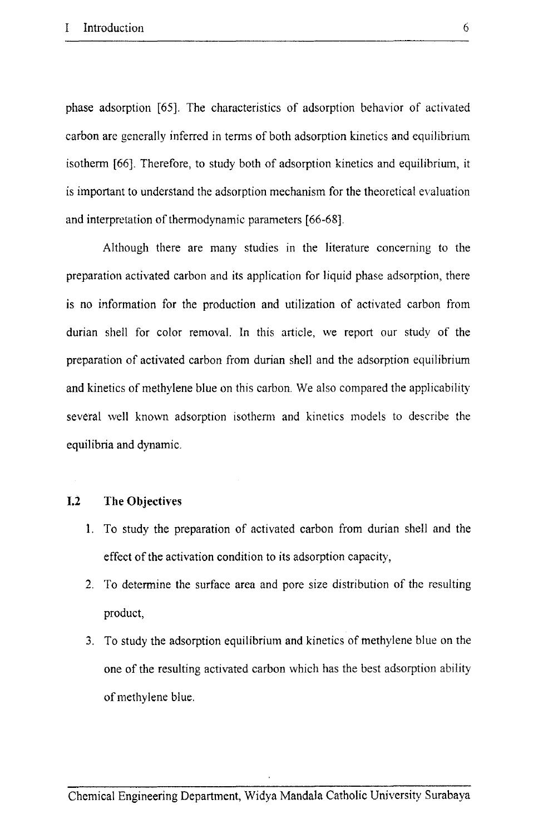phase adsorption [65]. The characteristics of adsorption behavior of activated carbon are generally inferred in terms of both adsorption kinetics and equilibrium isotherm [66]. Therefore, to study both of adsorption kinetics and equilibrium, it is important to understand the adsorption mechanism for the theoretical evaluation and interpretation of thermodynamic parameters [66-68].

Although there are many studies in the literature concerning to the preparation activated carbon and its application for liquid phase adsorption, there is no information for the production and utilization of activated carbon from durian shell for color removal. In this article, we report our study of the preparation of activated carbon from durian shell and the adsorption equilibrium and kinetics of methylene blue on this carbon. We also compared the applicability several well known adsorption isotherm and kinetics models to describe the equilibria and dynamic.

### **1.2 The Objectives**

- 1. To study the preparation of activated carbon from durian shell and the effect of the activation condition to its adsorption capacity,
- 2. To determine the surface area and pore size distribution of the resulting product,
- 3. To study the adsorption equilibrium and kinetics of methylene blue on the one of the resulting activated carbon which has the best adsorption ability of methylene blue.